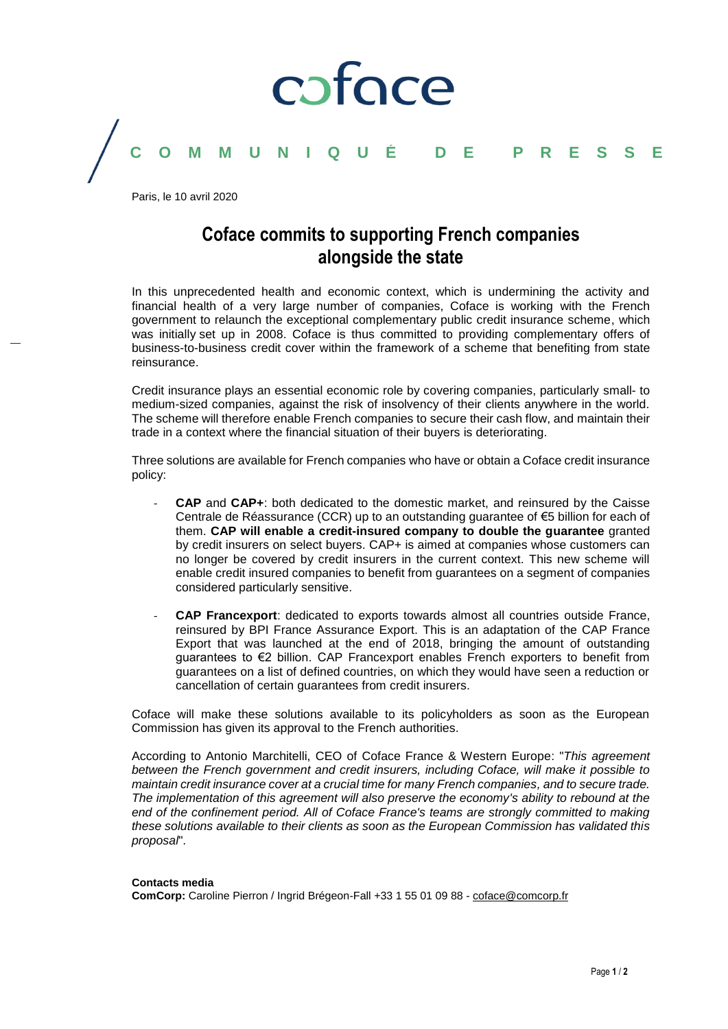

Paris, le 10 avril 2020

### **Coface commits to supporting French companies alongside the state**

In this unprecedented health and economic context, which is undermining the activity and financial health of a very large number of companies, Coface is working with the French government to relaunch the exceptional complementary public credit insurance scheme, which was initially set up in 2008. Coface is thus committed to providing complementary offers of business-to-business credit cover within the framework of a scheme that benefiting from state reinsurance.

Credit insurance plays an essential economic role by covering companies, particularly small- to medium-sized companies, against the risk of insolvency of their clients anywhere in the world. The scheme will therefore enable French companies to secure their cash flow, and maintain their trade in a context where the financial situation of their buyers is deteriorating.

Three solutions are available for French companies who have or obtain a Coface credit insurance policy:

- **CAP** and **CAP+**: both dedicated to the domestic market, and reinsured by the Caisse Centrale de Réassurance (CCR) up to an outstanding guarantee of €5 billion for each of them. **CAP will enable a credit-insured company to double the guarantee** granted by credit insurers on select buyers. CAP+ is aimed at companies whose customers can no longer be covered by credit insurers in the current context. This new scheme will enable credit insured companies to benefit from guarantees on a segment of companies considered particularly sensitive.
- **CAP Francexport**: dedicated to exports towards almost all countries outside France, reinsured by BPI France Assurance Export. This is an adaptation of the CAP France Export that was launched at the end of 2018, bringing the amount of outstanding guarantees to €2 billion. CAP Francexport enables French exporters to benefit from guarantees on a list of defined countries, on which they would have seen a reduction or cancellation of certain guarantees from credit insurers.

Coface will make these solutions available to its policyholders as soon as the European Commission has given its approval to the French authorities.

According to Antonio Marchitelli, CEO of Coface France & Western Europe: "*This agreement between the French government and credit insurers, including Coface, will make it possible to maintain credit insurance cover at a crucial time for many French companies, and to secure trade. The implementation of this agreement will also preserve the economy's ability to rebound at the end of the confinement period. All of Coface France's teams are strongly committed to making these solutions available to their clients as soon as the European Commission has validated this proposal*".

### **Contacts media**

**ComCorp:** Caroline Pierron / Ingrid Brégeon-Fall +33 1 55 01 09 88 - [coface@comcorp.fr](mailto:coface@comcorp.fr)